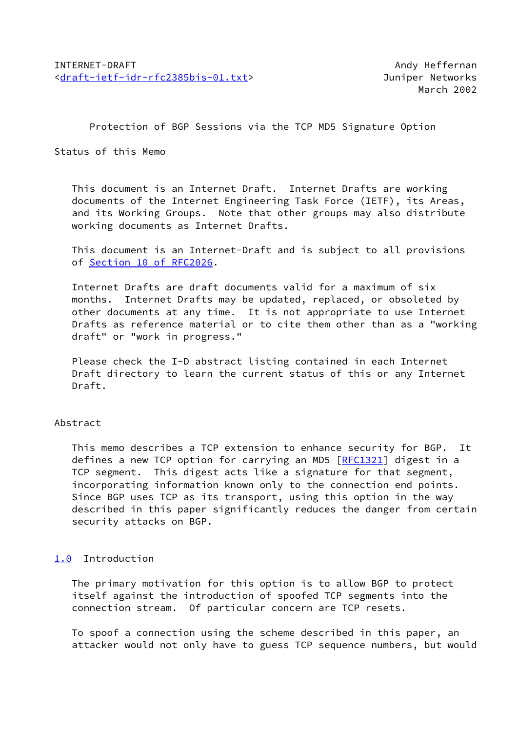Protection of BGP Sessions via the TCP MD5 Signature Option

Status of this Memo

 This document is an Internet Draft. Internet Drafts are working documents of the Internet Engineering Task Force (IETF), its Areas, and its Working Groups. Note that other groups may also distribute working documents as Internet Drafts.

 This document is an Internet-Draft and is subject to all provisions of Section [10 of RFC2026.](https://datatracker.ietf.org/doc/pdf/rfc2026#section-10)

 Internet Drafts are draft documents valid for a maximum of six months. Internet Drafts may be updated, replaced, or obsoleted by other documents at any time. It is not appropriate to use Internet Drafts as reference material or to cite them other than as a "working draft" or "work in progress."

 Please check the I-D abstract listing contained in each Internet Draft directory to learn the current status of this or any Internet Draft.

## Abstract

 This memo describes a TCP extension to enhance security for BGP. It defines a new TCP option for carrying an MD5 [\[RFC1321](https://datatracker.ietf.org/doc/pdf/rfc1321)] digest in a TCP segment. This digest acts like a signature for that segment, incorporating information known only to the connection end points. Since BGP uses TCP as its transport, using this option in the way described in this paper significantly reduces the danger from certain security attacks on BGP.

# <span id="page-0-0"></span>[1.0](#page-0-0) Introduction

 The primary motivation for this option is to allow BGP to protect itself against the introduction of spoofed TCP segments into the connection stream. Of particular concern are TCP resets.

 To spoof a connection using the scheme described in this paper, an attacker would not only have to guess TCP sequence numbers, but would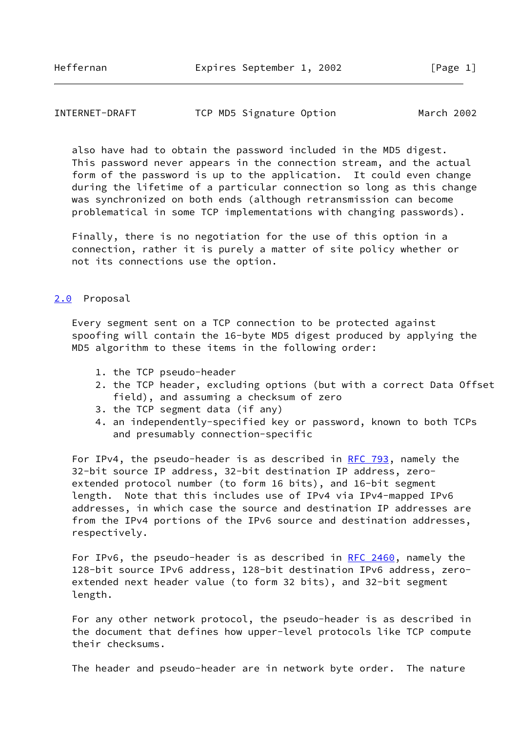### INTERNET-DRAFT TCP MD5 Signature Option March 2002

 also have had to obtain the password included in the MD5 digest. This password never appears in the connection stream, and the actual form of the password is up to the application. It could even change during the lifetime of a particular connection so long as this change was synchronized on both ends (although retransmission can become problematical in some TCP implementations with changing passwords).

 Finally, there is no negotiation for the use of this option in a connection, rather it is purely a matter of site policy whether or not its connections use the option.

### <span id="page-1-0"></span>[2.0](#page-1-0) Proposal

 Every segment sent on a TCP connection to be protected against spoofing will contain the 16-byte MD5 digest produced by applying the MD5 algorithm to these items in the following order:

- 1. the TCP pseudo-header
- 2. the TCP header, excluding options (but with a correct Data Offset field), and assuming a checksum of zero
- 3. the TCP segment data (if any)
- 4. an independently-specified key or password, known to both TCPs and presumably connection-specific

For IPv4, the pseudo-header is as described in [RFC 793](https://datatracker.ietf.org/doc/pdf/rfc793), namely the 32-bit source IP address, 32-bit destination IP address, zero extended protocol number (to form 16 bits), and 16-bit segment length. Note that this includes use of IPv4 via IPv4-mapped IPv6 addresses, in which case the source and destination IP addresses are from the IPv4 portions of the IPv6 source and destination addresses, respectively.

For IPv6, the pseudo-header is as described in [RFC 2460,](https://datatracker.ietf.org/doc/pdf/rfc2460) namely the 128-bit source IPv6 address, 128-bit destination IPv6 address, zero extended next header value (to form 32 bits), and 32-bit segment length.

 For any other network protocol, the pseudo-header is as described in the document that defines how upper-level protocols like TCP compute their checksums.

The header and pseudo-header are in network byte order. The nature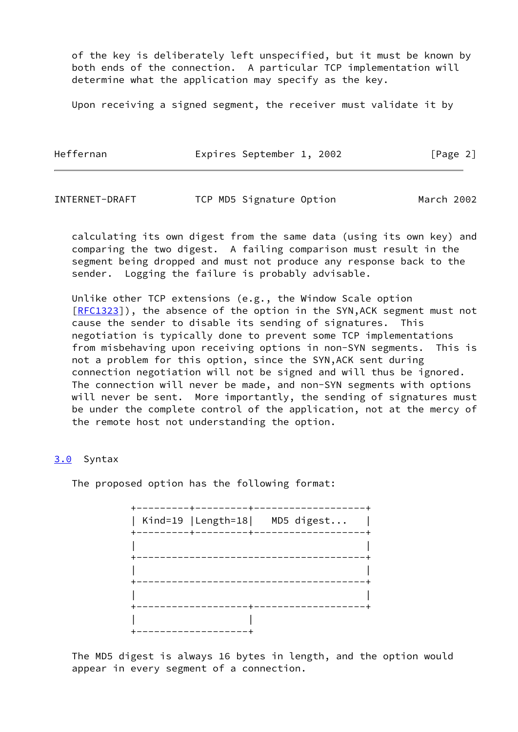of the key is deliberately left unspecified, but it must be known by both ends of the connection. A particular TCP implementation will determine what the application may specify as the key.

Upon receiving a signed segment, the receiver must validate it by

Heffernan **Expires September 1, 2002** [Page 2]

INTERNET-DRAFT TCP MD5 Signature Option March 2002

 calculating its own digest from the same data (using its own key) and comparing the two digest. A failing comparison must result in the segment being dropped and must not produce any response back to the sender. Logging the failure is probably advisable.

 Unlike other TCP extensions (e.g., the Window Scale option [\[RFC1323](https://datatracker.ietf.org/doc/pdf/rfc1323)]), the absence of the option in the SYN, ACK segment must not cause the sender to disable its sending of signatures. This negotiation is typically done to prevent some TCP implementations from misbehaving upon receiving options in non-SYN segments. This is not a problem for this option, since the SYN,ACK sent during connection negotiation will not be signed and will thus be ignored. The connection will never be made, and non-SYN segments with options will never be sent. More importantly, the sending of signatures must be under the complete control of the application, not at the mercy of the remote host not understanding the option.

### <span id="page-2-0"></span>[3.0](#page-2-0) Syntax

The proposed option has the following format:

 +---------+---------+-------------------+ | Kind=19 |Length=18| MD5 digest... | +---------+---------+-------------------+ | | +---------------------------------------+ | | +---------------------------------------+ | | +-------------------+-------------------+ | | +-------------------+

 The MD5 digest is always 16 bytes in length, and the option would appear in every segment of a connection.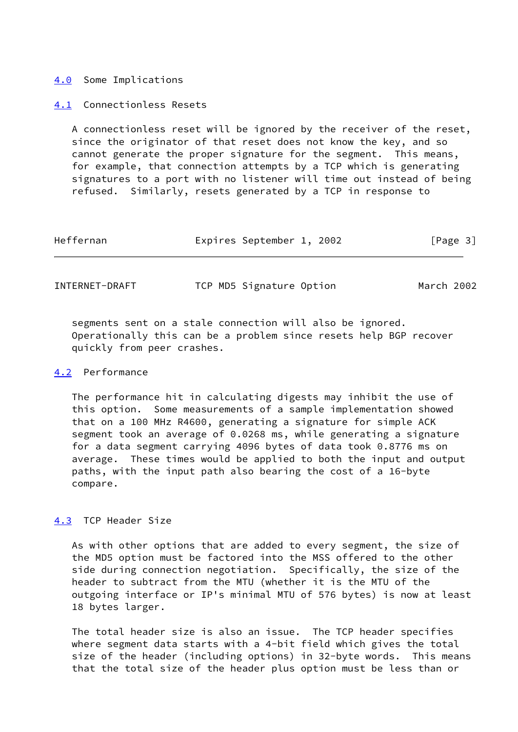#### <span id="page-3-0"></span>[4.0](#page-3-0) Some Implications

#### <span id="page-3-1"></span>[4.1](#page-3-1) Connectionless Resets

 A connectionless reset will be ignored by the receiver of the reset, since the originator of that reset does not know the key, and so cannot generate the proper signature for the segment. This means, for example, that connection attempts by a TCP which is generating signatures to a port with no listener will time out instead of being refused. Similarly, resets generated by a TCP in response to

| Heffernan | Expires September 1, 2002 |  | [Page 3] |  |
|-----------|---------------------------|--|----------|--|
|           |                           |  |          |  |

| INTERNET-DRAFT | TCP MD5 Signature Option | March 2002 |
|----------------|--------------------------|------------|
|----------------|--------------------------|------------|

 segments sent on a stale connection will also be ignored. Operationally this can be a problem since resets help BGP recover quickly from peer crashes.

### <span id="page-3-2"></span>[4.2](#page-3-2) Performance

 The performance hit in calculating digests may inhibit the use of this option. Some measurements of a sample implementation showed that on a 100 MHz R4600, generating a signature for simple ACK segment took an average of 0.0268 ms, while generating a signature for a data segment carrying 4096 bytes of data took 0.8776 ms on average. These times would be applied to both the input and output paths, with the input path also bearing the cost of a 16-byte compare.

# <span id="page-3-3"></span>[4.3](#page-3-3) TCP Header Size

 As with other options that are added to every segment, the size of the MD5 option must be factored into the MSS offered to the other side during connection negotiation. Specifically, the size of the header to subtract from the MTU (whether it is the MTU of the outgoing interface or IP's minimal MTU of 576 bytes) is now at least 18 bytes larger.

 The total header size is also an issue. The TCP header specifies where segment data starts with a 4-bit field which gives the total size of the header (including options) in 32-byte words. This means that the total size of the header plus option must be less than or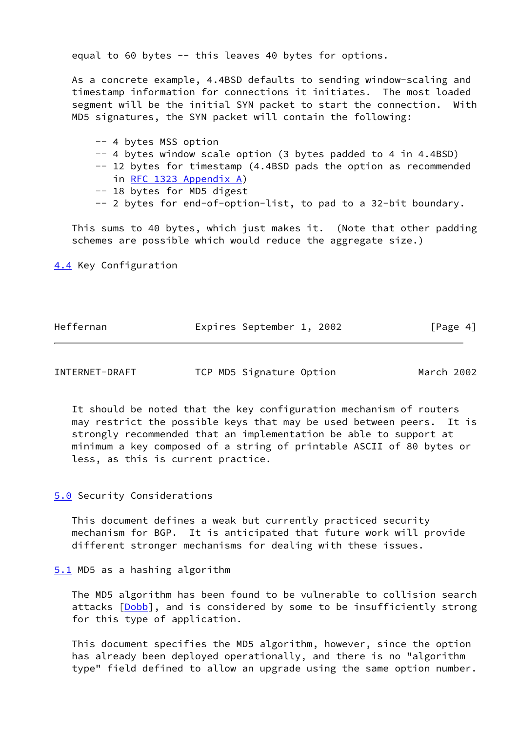equal to 60 bytes -- this leaves 40 bytes for options.

 As a concrete example, 4.4BSD defaults to sending window-scaling and timestamp information for connections it initiates. The most loaded segment will be the initial SYN packet to start the connection. With MD5 signatures, the SYN packet will contain the following:

 -- 4 bytes MSS option -- 4 bytes window scale option (3 bytes padded to 4 in 4.4BSD) -- 12 bytes for timestamp (4.4BSD pads the option as recommended in [RFC 1323 Appendix](https://datatracker.ietf.org/doc/pdf/rfc1323#appendix-A) A) -- 18 bytes for MD5 digest

-- 2 bytes for end-of-option-list, to pad to a 32-bit boundary.

 This sums to 40 bytes, which just makes it. (Note that other padding schemes are possible which would reduce the aggregate size.)

<span id="page-4-0"></span>[4.4](#page-4-0) Key Configuration

| Heffernan | Expires September 1, 2002 |  | [Page 4] |  |
|-----------|---------------------------|--|----------|--|
|           |                           |  |          |  |

INTERNET-DRAFT TCP MD5 Signature Option March 2002

 It should be noted that the key configuration mechanism of routers may restrict the possible keys that may be used between peers. It is strongly recommended that an implementation be able to support at minimum a key composed of a string of printable ASCII of 80 bytes or less, as this is current practice.

<span id="page-4-1"></span>[5.0](#page-4-1) Security Considerations

 This document defines a weak but currently practiced security mechanism for BGP. It is anticipated that future work will provide different stronger mechanisms for dealing with these issues.

<span id="page-4-2"></span>[5.1](#page-4-2) MD5 as a hashing algorithm

 The MD5 algorithm has been found to be vulnerable to collision search attacks [\[Dobb](#page-6-0)], and is considered by some to be insufficiently strong for this type of application.

 This document specifies the MD5 algorithm, however, since the option has already been deployed operationally, and there is no "algorithm type" field defined to allow an upgrade using the same option number.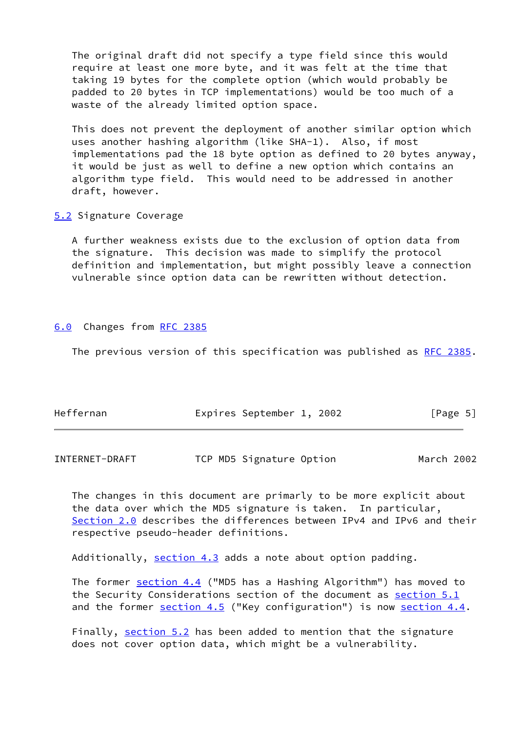The original draft did not specify a type field since this would require at least one more byte, and it was felt at the time that taking 19 bytes for the complete option (which would probably be padded to 20 bytes in TCP implementations) would be too much of a waste of the already limited option space.

 This does not prevent the deployment of another similar option which uses another hashing algorithm (like SHA-1). Also, if most implementations pad the 18 byte option as defined to 20 bytes anyway, it would be just as well to define a new option which contains an algorithm type field. This would need to be addressed in another draft, however.

<span id="page-5-0"></span>[5.2](#page-5-0) Signature Coverage

 A further weakness exists due to the exclusion of option data from the signature. This decision was made to simplify the protocol definition and implementation, but might possibly leave a connection vulnerable since option data can be rewritten without detection.

### <span id="page-5-1"></span>[6.0](#page-5-1) Changes from [RFC 2385](https://datatracker.ietf.org/doc/pdf/rfc2385)

The previous version of this specification was published as [RFC 2385.](https://datatracker.ietf.org/doc/pdf/rfc2385)

| Heffernan | Expires September 1, 2002 | $\lceil \text{Page } 5 \rceil$ |
|-----------|---------------------------|--------------------------------|
|           |                           |                                |

INTERNET-DRAFT TCP MD5 Signature Option March 2002

 The changes in this document are primarly to be more explicit about the data over which the MD5 signature is taken. In particular, [Section 2.0](#page-1-0) describes the differences between IPv4 and IPv6 and their respective pseudo-header definitions.

Additionally, [section 4.3](#page-3-3) adds a note about option padding.

The former **[section 4.4](#page-4-0)** ("MD5 has a Hashing Algorithm") has moved to the Security Considerations section of the document as [section 5.1](#page-4-2) and the former  $section 4.5$  ("Key configuration") is now section  $4.4$ .

Finally, section  $5.2$  has been added to mention that the signature does not cover option data, which might be a vulnerability.